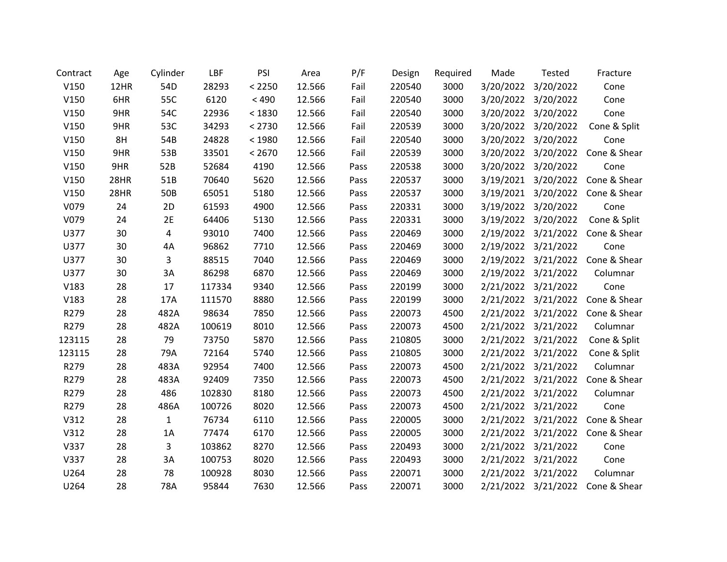| Contract | Age  | Cylinder    | LBF    | PSI     | Area   | P/F  | Design | Required | Made                | Tested              | Fracture     |
|----------|------|-------------|--------|---------|--------|------|--------|----------|---------------------|---------------------|--------------|
| V150     | 12HR | 54D         | 28293  | < 2250  | 12.566 | Fail | 220540 | 3000     | 3/20/2022           | 3/20/2022           | Cone         |
| V150     | 6HR  | 55C         | 6120   | $< 490$ | 12.566 | Fail | 220540 | 3000     | 3/20/2022           | 3/20/2022           | Cone         |
| V150     | 9HR  | 54C         | 22936  | < 1830  | 12.566 | Fail | 220540 | 3000     | 3/20/2022           | 3/20/2022           | Cone         |
| V150     | 9HR  | 53C         | 34293  | < 2730  | 12.566 | Fail | 220539 | 3000     | 3/20/2022           | 3/20/2022           | Cone & Split |
| V150     | 8H   | 54B         | 24828  | < 1980  | 12.566 | Fail | 220540 | 3000     | 3/20/2022           | 3/20/2022           | Cone         |
| V150     | 9HR  | 53B         | 33501  | < 2670  | 12.566 | Fail | 220539 | 3000     | 3/20/2022           | 3/20/2022           | Cone & Shear |
| V150     | 9HR  | 52B         | 52684  | 4190    | 12.566 | Pass | 220538 | 3000     | 3/20/2022           | 3/20/2022           | Cone         |
| V150     | 28HR | 51B         | 70640  | 5620    | 12.566 | Pass | 220537 | 3000     |                     | 3/19/2021 3/20/2022 | Cone & Shear |
| V150     | 28HR | 50B         | 65051  | 5180    | 12.566 | Pass | 220537 | 3000     | 3/19/2021           | 3/20/2022           | Cone & Shear |
| V079     | 24   | 2D          | 61593  | 4900    | 12.566 | Pass | 220331 | 3000     | 3/19/2022           | 3/20/2022           | Cone         |
| V079     | 24   | 2E          | 64406  | 5130    | 12.566 | Pass | 220331 | 3000     | 3/19/2022           | 3/20/2022           | Cone & Split |
| U377     | 30   | 4           | 93010  | 7400    | 12.566 | Pass | 220469 | 3000     | 2/19/2022           | 3/21/2022           | Cone & Shear |
| U377     | 30   | 4A          | 96862  | 7710    | 12.566 | Pass | 220469 | 3000     | 2/19/2022           | 3/21/2022           | Cone         |
| U377     | 30   | 3           | 88515  | 7040    | 12.566 | Pass | 220469 | 3000     |                     | 2/19/2022 3/21/2022 | Cone & Shear |
| U377     | 30   | 3A          | 86298  | 6870    | 12.566 | Pass | 220469 | 3000     | 2/19/2022           | 3/21/2022           | Columnar     |
| V183     | 28   | 17          | 117334 | 9340    | 12.566 | Pass | 220199 | 3000     | 2/21/2022           | 3/21/2022           | Cone         |
| V183     | 28   | 17A         | 111570 | 8880    | 12.566 | Pass | 220199 | 3000     | 2/21/2022           | 3/21/2022           | Cone & Shear |
| R279     | 28   | 482A        | 98634  | 7850    | 12.566 | Pass | 220073 | 4500     | 2/21/2022           | 3/21/2022           | Cone & Shear |
| R279     | 28   | 482A        | 100619 | 8010    | 12.566 | Pass | 220073 | 4500     | 2/21/2022 3/21/2022 |                     | Columnar     |
| 123115   | 28   | 79          | 73750  | 5870    | 12.566 | Pass | 210805 | 3000     | 2/21/2022           | 3/21/2022           | Cone & Split |
| 123115   | 28   | 79A         | 72164  | 5740    | 12.566 | Pass | 210805 | 3000     | 2/21/2022           | 3/21/2022           | Cone & Split |
| R279     | 28   | 483A        | 92954  | 7400    | 12.566 | Pass | 220073 | 4500     | 2/21/2022           | 3/21/2022           | Columnar     |
| R279     | 28   | 483A        | 92409  | 7350    | 12.566 | Pass | 220073 | 4500     | 2/21/2022           | 3/21/2022           | Cone & Shear |
| R279     | 28   | 486         | 102830 | 8180    | 12.566 | Pass | 220073 | 4500     | 2/21/2022           | 3/21/2022           | Columnar     |
| R279     | 28   | 486A        | 100726 | 8020    | 12.566 | Pass | 220073 | 4500     | 2/21/2022 3/21/2022 |                     | Cone         |
| V312     | 28   | $\mathbf 1$ | 76734  | 6110    | 12.566 | Pass | 220005 | 3000     | 2/21/2022           | 3/21/2022           | Cone & Shear |
| V312     | 28   | 1A          | 77474  | 6170    | 12.566 | Pass | 220005 | 3000     | 2/21/2022           | 3/21/2022           | Cone & Shear |
| V337     | 28   | 3           | 103862 | 8270    | 12.566 | Pass | 220493 | 3000     | 2/21/2022 3/21/2022 |                     | Cone         |
| V337     | 28   | 3A          | 100753 | 8020    | 12.566 | Pass | 220493 | 3000     | 2/21/2022           | 3/21/2022           | Cone         |
| U264     | 28   | 78          | 100928 | 8030    | 12.566 | Pass | 220071 | 3000     | 2/21/2022           | 3/21/2022           | Columnar     |
| U264     | 28   | 78A         | 95844  | 7630    | 12.566 | Pass | 220071 | 3000     |                     | 2/21/2022 3/21/2022 | Cone & Shear |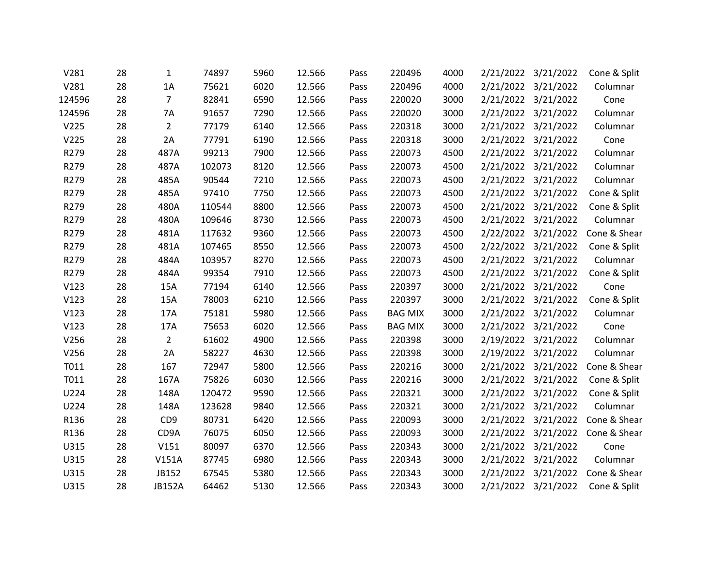| V281             | 28 | 1               | 74897  | 5960 | 12.566 | Pass | 220496         | 4000 | 2/21/2022 | 3/21/2022           | Cone & Split |
|------------------|----|-----------------|--------|------|--------|------|----------------|------|-----------|---------------------|--------------|
| V281             | 28 | 1A              | 75621  | 6020 | 12.566 | Pass | 220496         | 4000 |           | 2/21/2022 3/21/2022 | Columnar     |
| 124596           | 28 | $\overline{7}$  | 82841  | 6590 | 12.566 | Pass | 220020         | 3000 |           | 2/21/2022 3/21/2022 | Cone         |
| 124596           | 28 | 7A              | 91657  | 7290 | 12.566 | Pass | 220020         | 3000 | 2/21/2022 | 3/21/2022           | Columnar     |
| V <sub>225</sub> | 28 | $\overline{2}$  | 77179  | 6140 | 12.566 | Pass | 220318         | 3000 | 2/21/2022 | 3/21/2022           | Columnar     |
| V225             | 28 | 2A              | 77791  | 6190 | 12.566 | Pass | 220318         | 3000 |           | 2/21/2022 3/21/2022 | Cone         |
| R279             | 28 | 487A            | 99213  | 7900 | 12.566 | Pass | 220073         | 4500 | 2/21/2022 | 3/21/2022           | Columnar     |
| R279             | 28 | 487A            | 102073 | 8120 | 12.566 | Pass | 220073         | 4500 |           | 2/21/2022 3/21/2022 | Columnar     |
| R279             | 28 | 485A            | 90544  | 7210 | 12.566 | Pass | 220073         | 4500 |           | 2/21/2022 3/21/2022 | Columnar     |
| R279             | 28 | 485A            | 97410  | 7750 | 12.566 | Pass | 220073         | 4500 | 2/21/2022 | 3/21/2022           | Cone & Split |
| R279             | 28 | 480A            | 110544 | 8800 | 12.566 | Pass | 220073         | 4500 | 2/21/2022 | 3/21/2022           | Cone & Split |
| R279             | 28 | 480A            | 109646 | 8730 | 12.566 | Pass | 220073         | 4500 |           | 2/21/2022 3/21/2022 | Columnar     |
| R279             | 28 | 481A            | 117632 | 9360 | 12.566 | Pass | 220073         | 4500 | 2/22/2022 | 3/21/2022           | Cone & Shear |
| R279             | 28 | 481A            | 107465 | 8550 | 12.566 | Pass | 220073         | 4500 |           | 2/22/2022 3/21/2022 | Cone & Split |
| R279             | 28 | 484A            | 103957 | 8270 | 12.566 | Pass | 220073         | 4500 |           | 2/21/2022 3/21/2022 | Columnar     |
| R279             | 28 | 484A            | 99354  | 7910 | 12.566 | Pass | 220073         | 4500 | 2/21/2022 | 3/21/2022           | Cone & Split |
| V123             | 28 | 15A             | 77194  | 6140 | 12.566 | Pass | 220397         | 3000 |           | 2/21/2022 3/21/2022 | Cone         |
| V123             | 28 | 15A             | 78003  | 6210 | 12.566 | Pass | 220397         | 3000 |           | 2/21/2022 3/21/2022 | Cone & Split |
| V123             | 28 | 17A             | 75181  | 5980 | 12.566 | Pass | <b>BAG MIX</b> | 3000 |           | 2/21/2022 3/21/2022 | Columnar     |
| V123             | 28 | 17A             | 75653  | 6020 | 12.566 | Pass | <b>BAG MIX</b> | 3000 |           | 2/21/2022 3/21/2022 | Cone         |
| V256             | 28 | $\overline{2}$  | 61602  | 4900 | 12.566 | Pass | 220398         | 3000 | 2/19/2022 | 3/21/2022           | Columnar     |
| V256             | 28 | 2A              | 58227  | 4630 | 12.566 | Pass | 220398         | 3000 | 2/19/2022 | 3/21/2022           | Columnar     |
| T011             | 28 | 167             | 72947  | 5800 | 12.566 | Pass | 220216         | 3000 |           | 2/21/2022 3/21/2022 | Cone & Shear |
| T011             | 28 | 167A            | 75826  | 6030 | 12.566 | Pass | 220216         | 3000 | 2/21/2022 | 3/21/2022           | Cone & Split |
| U224             | 28 | 148A            | 120472 | 9590 | 12.566 | Pass | 220321         | 3000 | 2/21/2022 | 3/21/2022           | Cone & Split |
| U224             | 28 | 148A            | 123628 | 9840 | 12.566 | Pass | 220321         | 3000 |           | 2/21/2022 3/21/2022 | Columnar     |
| R136             | 28 | CD <sub>9</sub> | 80731  | 6420 | 12.566 | Pass | 220093         | 3000 | 2/21/2022 | 3/21/2022           | Cone & Shear |
| R136             | 28 | CD9A            | 76075  | 6050 | 12.566 | Pass | 220093         | 3000 | 2/21/2022 | 3/21/2022           | Cone & Shear |
| U315             | 28 | V151            | 80097  | 6370 | 12.566 | Pass | 220343         | 3000 |           | 2/21/2022 3/21/2022 | Cone         |
| U315             | 28 | V151A           | 87745  | 6980 | 12.566 | Pass | 220343         | 3000 | 2/21/2022 | 3/21/2022           | Columnar     |
| U315             | 28 | JB152           | 67545  | 5380 | 12.566 | Pass | 220343         | 3000 | 2/21/2022 | 3/21/2022           | Cone & Shear |
| U315             | 28 | <b>JB152A</b>   | 64462  | 5130 | 12.566 | Pass | 220343         | 3000 |           | 2/21/2022 3/21/2022 | Cone & Split |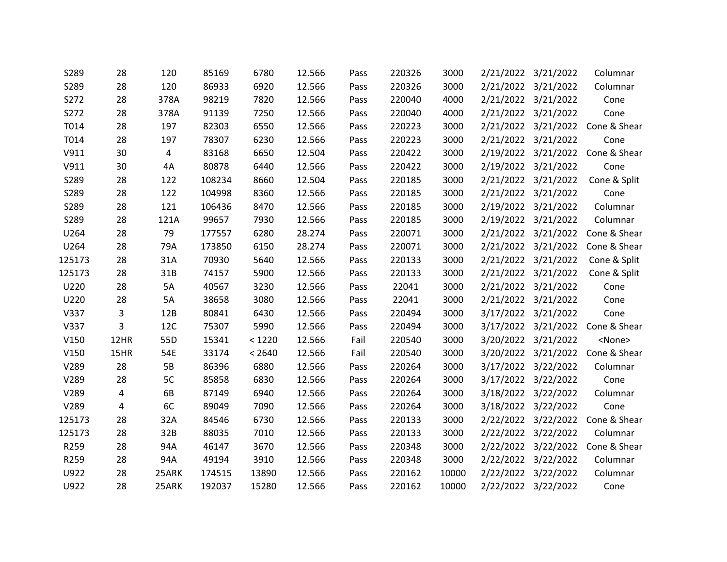| S289   | 28   | 120   | 85169  | 6780   | 12.566 | Pass | 220326 | 3000  | 2/21/2022 | 3/21/2022           | Columnar                         |
|--------|------|-------|--------|--------|--------|------|--------|-------|-----------|---------------------|----------------------------------|
| S289   | 28   | 120   | 86933  | 6920   | 12.566 | Pass | 220326 | 3000  |           | 2/21/2022 3/21/2022 | Columnar                         |
| S272   | 28   | 378A  | 98219  | 7820   | 12.566 | Pass | 220040 | 4000  |           | 2/21/2022 3/21/2022 | Cone                             |
| S272   | 28   | 378A  | 91139  | 7250   | 12.566 | Pass | 220040 | 4000  | 2/21/2022 | 3/21/2022           | Cone                             |
| T014   | 28   | 197   | 82303  | 6550   | 12.566 | Pass | 220223 | 3000  | 2/21/2022 | 3/21/2022           | Cone & Shear                     |
| T014   | 28   | 197   | 78307  | 6230   | 12.566 | Pass | 220223 | 3000  |           | 2/21/2022 3/21/2022 | Cone                             |
| V911   | 30   | 4     | 83168  | 6650   | 12.504 | Pass | 220422 | 3000  | 2/19/2022 | 3/21/2022           | Cone & Shear                     |
| V911   | 30   | 4A    | 80878  | 6440   | 12.566 | Pass | 220422 | 3000  |           | 2/19/2022 3/21/2022 | Cone                             |
| S289   | 28   | 122   | 108234 | 8660   | 12.504 | Pass | 220185 | 3000  |           | 2/21/2022 3/21/2022 | Cone & Split                     |
| S289   | 28   | 122   | 104998 | 8360   | 12.566 | Pass | 220185 | 3000  | 2/21/2022 | 3/21/2022           | Cone                             |
| S289   | 28   | 121   | 106436 | 8470   | 12.566 | Pass | 220185 | 3000  | 2/19/2022 | 3/21/2022           | Columnar                         |
| S289   | 28   | 121A  | 99657  | 7930   | 12.566 | Pass | 220185 | 3000  |           | 2/19/2022 3/21/2022 | Columnar                         |
| U264   | 28   | 79    | 177557 | 6280   | 28.274 | Pass | 220071 | 3000  | 2/21/2022 | 3/21/2022           | Cone & Shear                     |
| U264   | 28   | 79A   | 173850 | 6150   | 28.274 | Pass | 220071 | 3000  |           | 2/21/2022 3/21/2022 | Cone & Shear                     |
| 125173 | 28   | 31A   | 70930  | 5640   | 12.566 | Pass | 220133 | 3000  |           | 2/21/2022 3/21/2022 | Cone & Split                     |
| 125173 | 28   | 31B   | 74157  | 5900   | 12.566 | Pass | 220133 | 3000  | 2/21/2022 | 3/21/2022           | Cone & Split                     |
| U220   | 28   | 5A    | 40567  | 3230   | 12.566 | Pass | 22041  | 3000  |           | 2/21/2022 3/21/2022 | Cone                             |
| U220   | 28   | 5A    | 38658  | 3080   | 12.566 | Pass | 22041  | 3000  |           | 2/21/2022 3/21/2022 | Cone                             |
| V337   | 3    | 12B   | 80841  | 6430   | 12.566 | Pass | 220494 | 3000  |           | 3/17/2022 3/21/2022 | Cone                             |
| V337   | 3    | 12C   | 75307  | 5990   | 12.566 | Pass | 220494 | 3000  |           |                     | 3/17/2022 3/21/2022 Cone & Shear |
| V150   | 12HR | 55D   | 15341  | < 1220 | 12.566 | Fail | 220540 | 3000  | 3/20/2022 | 3/21/2022           | <none></none>                    |
| V150   | 15HR | 54E   | 33174  | < 2640 | 12.566 | Fail | 220540 | 3000  | 3/20/2022 | 3/21/2022           | Cone & Shear                     |
| V289   | 28   | 5B    | 86396  | 6880   | 12.566 | Pass | 220264 | 3000  |           | 3/17/2022 3/22/2022 | Columnar                         |
| V289   | 28   | 5C    | 85858  | 6830   | 12.566 | Pass | 220264 | 3000  | 3/17/2022 | 3/22/2022           | Cone                             |
| V289   | 4    | 6B    | 87149  | 6940   | 12.566 | Pass | 220264 | 3000  | 3/18/2022 | 3/22/2022           | Columnar                         |
| V289   | 4    | 6C    | 89049  | 7090   | 12.566 | Pass | 220264 | 3000  |           | 3/18/2022 3/22/2022 | Cone                             |
| 125173 | 28   | 32A   | 84546  | 6730   | 12.566 | Pass | 220133 | 3000  | 2/22/2022 | 3/22/2022           | Cone & Shear                     |
| 125173 | 28   | 32B   | 88035  | 7010   | 12.566 | Pass | 220133 | 3000  | 2/22/2022 | 3/22/2022           | Columnar                         |
| R259   | 28   | 94A   | 46147  | 3670   | 12.566 | Pass | 220348 | 3000  |           | 2/22/2022 3/22/2022 | Cone & Shear                     |
| R259   | 28   | 94A   | 49194  | 3910   | 12.566 | Pass | 220348 | 3000  | 2/22/2022 | 3/22/2022           | Columnar                         |
| U922   | 28   | 25ARK | 174515 | 13890  | 12.566 | Pass | 220162 | 10000 | 2/22/2022 | 3/22/2022           | Columnar                         |
| U922   | 28   | 25ARK | 192037 | 15280  | 12.566 | Pass | 220162 | 10000 |           | 2/22/2022 3/22/2022 | Cone                             |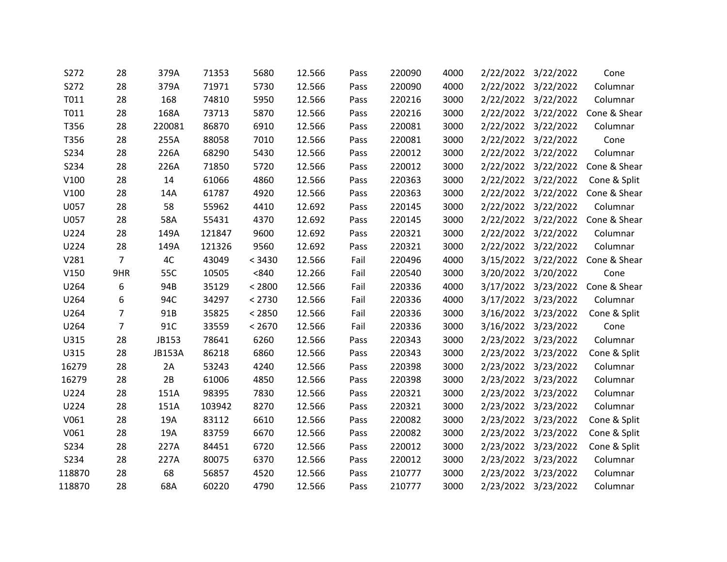| S272   | 28             | 379A          | 71353  | 5680   | 12.566 | Pass | 220090 | 4000 | 2/22/2022 | 3/22/2022           | Cone         |
|--------|----------------|---------------|--------|--------|--------|------|--------|------|-----------|---------------------|--------------|
| S272   | 28             | 379A          | 71971  | 5730   | 12.566 | Pass | 220090 | 4000 |           | 2/22/2022 3/22/2022 | Columnar     |
| T011   | 28             | 168           | 74810  | 5950   | 12.566 | Pass | 220216 | 3000 |           | 2/22/2022 3/22/2022 | Columnar     |
| T011   | 28             | 168A          | 73713  | 5870   | 12.566 | Pass | 220216 | 3000 | 2/22/2022 | 3/22/2022           | Cone & Shear |
| T356   | 28             | 220081        | 86870  | 6910   | 12.566 | Pass | 220081 | 3000 | 2/22/2022 | 3/22/2022           | Columnar     |
| T356   | 28             | 255A          | 88058  | 7010   | 12.566 | Pass | 220081 | 3000 |           | 2/22/2022 3/22/2022 | Cone         |
| S234   | 28             | 226A          | 68290  | 5430   | 12.566 | Pass | 220012 | 3000 | 2/22/2022 | 3/22/2022           | Columnar     |
| S234   | 28             | 226A          | 71850  | 5720   | 12.566 | Pass | 220012 | 3000 |           | 2/22/2022 3/22/2022 | Cone & Shear |
| V100   | 28             | 14            | 61066  | 4860   | 12.566 | Pass | 220363 | 3000 |           | 2/22/2022 3/22/2022 | Cone & Split |
| V100   | 28             | 14A           | 61787  | 4920   | 12.566 | Pass | 220363 | 3000 | 2/22/2022 | 3/22/2022           | Cone & Shear |
| U057   | 28             | 58            | 55962  | 4410   | 12.692 | Pass | 220145 | 3000 | 2/22/2022 | 3/22/2022           | Columnar     |
| U057   | 28             | 58A           | 55431  | 4370   | 12.692 | Pass | 220145 | 3000 |           | 2/22/2022 3/22/2022 | Cone & Shear |
| U224   | 28             | 149A          | 121847 | 9600   | 12.692 | Pass | 220321 | 3000 | 2/22/2022 | 3/22/2022           | Columnar     |
| U224   | 28             | 149A          | 121326 | 9560   | 12.692 | Pass | 220321 | 3000 |           | 2/22/2022 3/22/2022 | Columnar     |
| V281   | $\overline{7}$ | 4C            | 43049  | < 3430 | 12.566 | Fail | 220496 | 4000 |           | 3/15/2022 3/22/2022 | Cone & Shear |
| V150   | 9HR            | 55C           | 10505  | < 840  | 12.266 | Fail | 220540 | 3000 | 3/20/2022 | 3/20/2022           | Cone         |
| U264   | 6              | 94B           | 35129  | < 2800 | 12.566 | Fail | 220336 | 4000 |           | 3/17/2022 3/23/2022 | Cone & Shear |
| U264   | 6              | 94C           | 34297  | < 2730 | 12.566 | Fail | 220336 | 4000 |           | 3/17/2022 3/23/2022 | Columnar     |
| U264   | $\overline{7}$ | 91B           | 35825  | < 2850 | 12.566 | Fail | 220336 | 3000 |           | 3/16/2022 3/23/2022 | Cone & Split |
| U264   | 7              | 91C           | 33559  | < 2670 | 12.566 | Fail | 220336 | 3000 |           | 3/16/2022 3/23/2022 | Cone         |
| U315   | 28             | JB153         | 78641  | 6260   | 12.566 | Pass | 220343 | 3000 | 2/23/2022 | 3/23/2022           | Columnar     |
| U315   | 28             | <b>JB153A</b> | 86218  | 6860   | 12.566 | Pass | 220343 | 3000 | 2/23/2022 | 3/23/2022           | Cone & Split |
| 16279  | 28             | 2A            | 53243  | 4240   | 12.566 | Pass | 220398 | 3000 |           | 2/23/2022 3/23/2022 | Columnar     |
| 16279  | 28             | 2B            | 61006  | 4850   | 12.566 | Pass | 220398 | 3000 | 2/23/2022 | 3/23/2022           | Columnar     |
| U224   | 28             | 151A          | 98395  | 7830   | 12.566 | Pass | 220321 | 3000 |           | 2/23/2022 3/23/2022 | Columnar     |
| U224   | 28             | 151A          | 103942 | 8270   | 12.566 | Pass | 220321 | 3000 |           | 2/23/2022 3/23/2022 | Columnar     |
| V061   | 28             | 19A           | 83112  | 6610   | 12.566 | Pass | 220082 | 3000 | 2/23/2022 | 3/23/2022           | Cone & Split |
| V061   | 28             | 19A           | 83759  | 6670   | 12.566 | Pass | 220082 | 3000 |           | 2/23/2022 3/23/2022 | Cone & Split |
| S234   | 28             | 227A          | 84451  | 6720   | 12.566 | Pass | 220012 | 3000 |           | 2/23/2022 3/23/2022 | Cone & Split |
| S234   | 28             | 227A          | 80075  | 6370   | 12.566 | Pass | 220012 | 3000 | 2/23/2022 | 3/23/2022           | Columnar     |
| 118870 | 28             | 68            | 56857  | 4520   | 12.566 | Pass | 210777 | 3000 |           | 2/23/2022 3/23/2022 | Columnar     |
| 118870 | 28             | 68A           | 60220  | 4790   | 12.566 | Pass | 210777 | 3000 |           | 2/23/2022 3/23/2022 | Columnar     |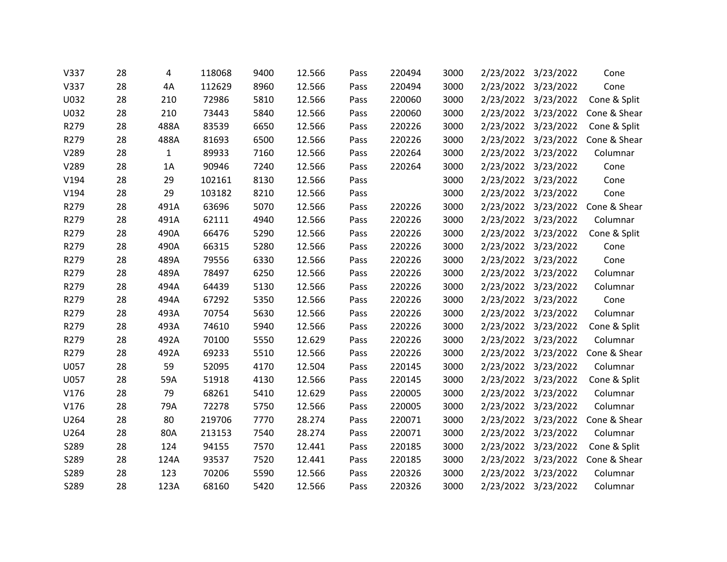| V337 | 28 | 4            | 118068 | 9400 | 12.566 | Pass | 220494 | 3000 | 2/23/2022 | 3/23/2022           | Cone         |
|------|----|--------------|--------|------|--------|------|--------|------|-----------|---------------------|--------------|
| V337 | 28 | 4A           | 112629 | 8960 | 12.566 | Pass | 220494 | 3000 |           | 2/23/2022 3/23/2022 | Cone         |
| U032 | 28 | 210          | 72986  | 5810 | 12.566 | Pass | 220060 | 3000 |           | 2/23/2022 3/23/2022 | Cone & Split |
| U032 | 28 | 210          | 73443  | 5840 | 12.566 | Pass | 220060 | 3000 | 2/23/2022 | 3/23/2022           | Cone & Shear |
| R279 | 28 | 488A         | 83539  | 6650 | 12.566 | Pass | 220226 | 3000 | 2/23/2022 | 3/23/2022           | Cone & Split |
| R279 | 28 | 488A         | 81693  | 6500 | 12.566 | Pass | 220226 | 3000 |           | 2/23/2022 3/23/2022 | Cone & Shear |
| V289 | 28 | $\mathbf{1}$ | 89933  | 7160 | 12.566 | Pass | 220264 | 3000 | 2/23/2022 | 3/23/2022           | Columnar     |
| V289 | 28 | 1A           | 90946  | 7240 | 12.566 | Pass | 220264 | 3000 |           | 2/23/2022 3/23/2022 | Cone         |
| V194 | 28 | 29           | 102161 | 8130 | 12.566 | Pass |        | 3000 |           | 2/23/2022 3/23/2022 | Cone         |
| V194 | 28 | 29           | 103182 | 8210 | 12.566 | Pass |        | 3000 | 2/23/2022 | 3/23/2022           | Cone         |
| R279 | 28 | 491A         | 63696  | 5070 | 12.566 | Pass | 220226 | 3000 | 2/23/2022 | 3/23/2022           | Cone & Shear |
| R279 | 28 | 491A         | 62111  | 4940 | 12.566 | Pass | 220226 | 3000 |           | 2/23/2022 3/23/2022 | Columnar     |
| R279 | 28 | 490A         | 66476  | 5290 | 12.566 | Pass | 220226 | 3000 | 2/23/2022 | 3/23/2022           | Cone & Split |
| R279 | 28 | 490A         | 66315  | 5280 | 12.566 | Pass | 220226 | 3000 |           | 2/23/2022 3/23/2022 | Cone         |
| R279 | 28 | 489A         | 79556  | 6330 | 12.566 | Pass | 220226 | 3000 |           | 2/23/2022 3/23/2022 | Cone         |
| R279 | 28 | 489A         | 78497  | 6250 | 12.566 | Pass | 220226 | 3000 | 2/23/2022 | 3/23/2022           | Columnar     |
| R279 | 28 | 494A         | 64439  | 5130 | 12.566 | Pass | 220226 | 3000 | 2/23/2022 | 3/23/2022           | Columnar     |
| R279 | 28 | 494A         | 67292  | 5350 | 12.566 | Pass | 220226 | 3000 |           | 2/23/2022 3/23/2022 | Cone         |
| R279 | 28 | 493A         | 70754  | 5630 | 12.566 | Pass | 220226 | 3000 | 2/23/2022 | 3/23/2022           | Columnar     |
| R279 | 28 | 493A         | 74610  | 5940 | 12.566 | Pass | 220226 | 3000 |           | 2/23/2022 3/23/2022 | Cone & Split |
| R279 | 28 | 492A         | 70100  | 5550 | 12.629 | Pass | 220226 | 3000 | 2/23/2022 | 3/23/2022           | Columnar     |
| R279 | 28 | 492A         | 69233  | 5510 | 12.566 | Pass | 220226 | 3000 | 2/23/2022 | 3/23/2022           | Cone & Shear |
| U057 | 28 | 59           | 52095  | 4170 | 12.504 | Pass | 220145 | 3000 |           | 2/23/2022 3/23/2022 | Columnar     |
| U057 | 28 | 59A          | 51918  | 4130 | 12.566 | Pass | 220145 | 3000 | 2/23/2022 | 3/23/2022           | Cone & Split |
| V176 | 28 | 79           | 68261  | 5410 | 12.629 | Pass | 220005 | 3000 |           | 2/23/2022 3/23/2022 | Columnar     |
| V176 | 28 | 79A          | 72278  | 5750 | 12.566 | Pass | 220005 | 3000 |           | 2/23/2022 3/23/2022 | Columnar     |
| U264 | 28 | 80           | 219706 | 7770 | 28.274 | Pass | 220071 | 3000 | 2/23/2022 | 3/23/2022           | Cone & Shear |
| U264 | 28 | 80A          | 213153 | 7540 | 28.274 | Pass | 220071 | 3000 | 2/23/2022 | 3/23/2022           | Columnar     |
| S289 | 28 | 124          | 94155  | 7570 | 12.441 | Pass | 220185 | 3000 |           | 2/23/2022 3/23/2022 | Cone & Split |
| S289 | 28 | 124A         | 93537  | 7520 | 12.441 | Pass | 220185 | 3000 | 2/23/2022 | 3/23/2022           | Cone & Shear |
| S289 | 28 | 123          | 70206  | 5590 | 12.566 | Pass | 220326 | 3000 | 2/23/2022 | 3/23/2022           | Columnar     |
| S289 | 28 | 123A         | 68160  | 5420 | 12.566 | Pass | 220326 | 3000 |           | 2/23/2022 3/23/2022 | Columnar     |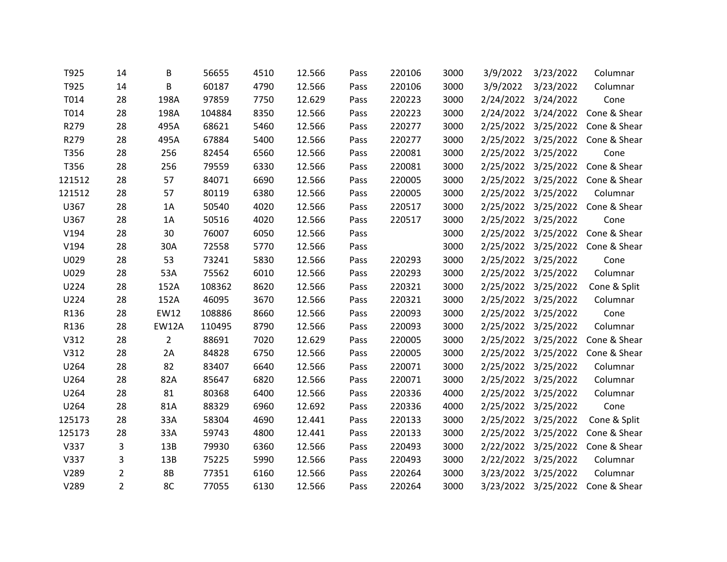| T925   | 14             | В              | 56655  | 4510 | 12.566 | Pass | 220106 | 3000 | 3/9/2022  | 3/23/2022           | Columnar     |
|--------|----------------|----------------|--------|------|--------|------|--------|------|-----------|---------------------|--------------|
| T925   | 14             | B              | 60187  | 4790 | 12.566 | Pass | 220106 | 3000 | 3/9/2022  | 3/23/2022           | Columnar     |
| T014   | 28             | 198A           | 97859  | 7750 | 12.629 | Pass | 220223 | 3000 |           | 2/24/2022 3/24/2022 | Cone         |
| T014   | 28             | 198A           | 104884 | 8350 | 12.566 | Pass | 220223 | 3000 | 2/24/2022 | 3/24/2022           | Cone & Shear |
| R279   | 28             | 495A           | 68621  | 5460 | 12.566 | Pass | 220277 | 3000 | 2/25/2022 | 3/25/2022           | Cone & Shear |
| R279   | 28             | 495A           | 67884  | 5400 | 12.566 | Pass | 220277 | 3000 |           | 2/25/2022 3/25/2022 | Cone & Shear |
| T356   | 28             | 256            | 82454  | 6560 | 12.566 | Pass | 220081 | 3000 | 2/25/2022 | 3/25/2022           | Cone         |
| T356   | 28             | 256            | 79559  | 6330 | 12.566 | Pass | 220081 | 3000 |           | 2/25/2022 3/25/2022 | Cone & Shear |
| 121512 | 28             | 57             | 84071  | 6690 | 12.566 | Pass | 220005 | 3000 |           | 2/25/2022 3/25/2022 | Cone & Shear |
| 121512 | 28             | 57             | 80119  | 6380 | 12.566 | Pass | 220005 | 3000 | 2/25/2022 | 3/25/2022           | Columnar     |
| U367   | 28             | 1A             | 50540  | 4020 | 12.566 | Pass | 220517 | 3000 | 2/25/2022 | 3/25/2022           | Cone & Shear |
| U367   | 28             | 1A             | 50516  | 4020 | 12.566 | Pass | 220517 | 3000 |           | 2/25/2022 3/25/2022 | Cone         |
| V194   | 28             | 30             | 76007  | 6050 | 12.566 | Pass |        | 3000 | 2/25/2022 | 3/25/2022           | Cone & Shear |
| V194   | 28             | 30A            | 72558  | 5770 | 12.566 | Pass |        | 3000 |           | 2/25/2022 3/25/2022 | Cone & Shear |
| U029   | 28             | 53             | 73241  | 5830 | 12.566 | Pass | 220293 | 3000 | 2/25/2022 | 3/25/2022           | Cone         |
| U029   | 28             | 53A            | 75562  | 6010 | 12.566 | Pass | 220293 | 3000 | 2/25/2022 | 3/25/2022           | Columnar     |
| U224   | 28             | 152A           | 108362 | 8620 | 12.566 | Pass | 220321 | 3000 |           | 2/25/2022 3/25/2022 | Cone & Split |
| U224   | 28             | 152A           | 46095  | 3670 | 12.566 | Pass | 220321 | 3000 | 2/25/2022 | 3/25/2022           | Columnar     |
| R136   | 28             | EW12           | 108886 | 8660 | 12.566 | Pass | 220093 | 3000 | 2/25/2022 | 3/25/2022           | Cone         |
| R136   | 28             | <b>EW12A</b>   | 110495 | 8790 | 12.566 | Pass | 220093 | 3000 |           | 2/25/2022 3/25/2022 | Columnar     |
| V312   | 28             | $\overline{2}$ | 88691  | 7020 | 12.629 | Pass | 220005 | 3000 | 2/25/2022 | 3/25/2022           | Cone & Shear |
| V312   | 28             | 2A             | 84828  | 6750 | 12.566 | Pass | 220005 | 3000 | 2/25/2022 | 3/25/2022           | Cone & Shear |
| U264   | 28             | 82             | 83407  | 6640 | 12.566 | Pass | 220071 | 3000 |           | 2/25/2022 3/25/2022 | Columnar     |
| U264   | 28             | 82A            | 85647  | 6820 | 12.566 | Pass | 220071 | 3000 | 2/25/2022 | 3/25/2022           | Columnar     |
| U264   | 28             | 81             | 80368  | 6400 | 12.566 | Pass | 220336 | 4000 | 2/25/2022 | 3/25/2022           | Columnar     |
| U264   | 28             | 81A            | 88329  | 6960 | 12.692 | Pass | 220336 | 4000 |           | 2/25/2022 3/25/2022 | Cone         |
| 125173 | 28             | 33A            | 58304  | 4690 | 12.441 | Pass | 220133 | 3000 | 2/25/2022 | 3/25/2022           | Cone & Split |
| 125173 | 28             | 33A            | 59743  | 4800 | 12.441 | Pass | 220133 | 3000 | 2/25/2022 | 3/25/2022           | Cone & Shear |
| V337   | 3              | 13B            | 79930  | 6360 | 12.566 | Pass | 220493 | 3000 |           | 2/22/2022 3/25/2022 | Cone & Shear |
| V337   | 3              | 13B            | 75225  | 5990 | 12.566 | Pass | 220493 | 3000 | 2/22/2022 | 3/25/2022           | Columnar     |
| V289   | $\overline{2}$ | 8B             | 77351  | 6160 | 12.566 | Pass | 220264 | 3000 | 3/23/2022 | 3/25/2022           | Columnar     |
| V289   | $\overline{2}$ | 8C             | 77055  | 6130 | 12.566 | Pass | 220264 | 3000 |           | 3/23/2022 3/25/2022 | Cone & Shear |